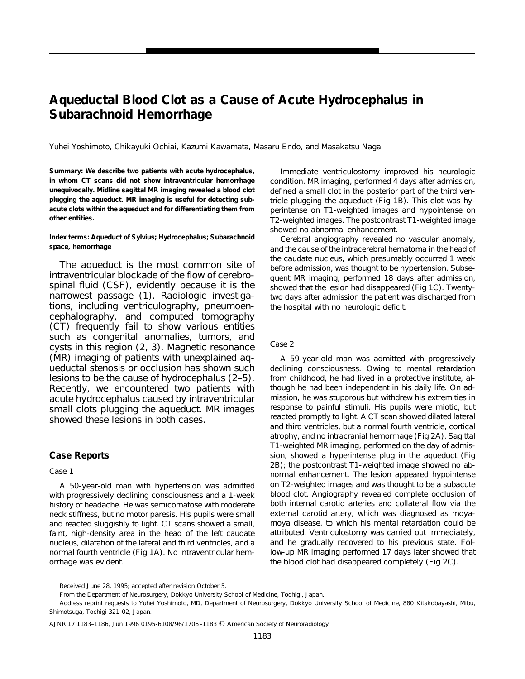# **Aqueductal Blood Clot as a Cause of Acute Hydrocephalus in Subarachnoid Hemorrhage**

Yuhei Yoshimoto, Chikayuki Ochiai, Kazumi Kawamata, Masaru Endo, and Masakatsu Nagai

**Summary: We describe two patients with acute hydrocephalus, in whom CT scans did not show intraventricular hemorrhage unequivocally. Midline sagittal MR imaging revealed a blood clot plugging the aqueduct. MR imaging is useful for detecting subacute clots within the aqueduct and for differentiating them from other entities.**

#### **Index terms: Aqueduct of Sylvius; Hydrocephalus; Subarachnoid space, hemorrhage**

The aqueduct is the most common site of intraventricular blockade of the flow of cerebrospinal fluid (CSF), evidently because it is the narrowest passage (1). Radiologic investigations, including ventriculography, pneumoencephalography, and computed tomography (CT) frequently fail to show various entities such as congenital anomalies, tumors, and cysts in this region (2, 3). Magnetic resonance (MR) imaging of patients with unexplained aqueductal stenosis or occlusion has shown such lesions to be the cause of hydrocephalus (2–5). Recently, we encountered two patients with acute hydrocephalus caused by intraventricular small clots plugging the aqueduct. MR images showed these lesions in both cases.

# **Case Reports**

#### *Case 1*

A 50-year-old man with hypertension was admitted with progressively declining consciousness and a 1-week history of headache. He was semicomatose with moderate neck stiffness, but no motor paresis. His pupils were small and reacted sluggishly to light. CT scans showed a small, faint, high-density area in the head of the left caudate nucleus, dilatation of the lateral and third ventricles, and a normal fourth ventricle (Fig 1A). No intraventricular hemorrhage was evident.

Immediate ventriculostomy improved his neurologic condition. MR imaging, performed 4 days after admission, defined a small clot in the posterior part of the third ventricle plugging the aqueduct (Fig 1B). This clot was hyperintense on T1-weighted images and hypointense on T2-weighted images. The postcontrast T1-weighted image showed no abnormal enhancement.

Cerebral angiography revealed no vascular anomaly, and the cause of the intracerebral hematoma in the head of the caudate nucleus, which presumably occurred 1 week before admission, was thought to be hypertension. Subsequent MR imaging, performed 18 days after admission, showed that the lesion had disappeared (Fig 1C). Twentytwo days after admission the patient was discharged from the hospital with no neurologic deficit.

## *Case 2*

A 59-year-old man was admitted with progressively declining consciousness. Owing to mental retardation from childhood, he had lived in a protective institute, although he had been independent in his daily life. On admission, he was stuporous but withdrew his extremities in response to painful stimuli. His pupils were miotic, but reacted promptly to light. A CT scan showed dilated lateral and third ventricles, but a normal fourth ventricle, cortical atrophy, and no intracranial hemorrhage (Fig 2A). Sagittal T1-weighted MR imaging, performed on the day of admission, showed a hyperintense plug in the aqueduct (Fig 2B); the postcontrast T1-weighted image showed no abnormal enhancement. The lesion appeared hypointense on T2-weighted images and was thought to be a subacute blood clot. Angiography revealed complete occlusion of both internal carotid arteries and collateral flow via the external carotid artery, which was diagnosed as moyamoya disease, to which his mental retardation could be attributed. Ventriculostomy was carried out immediately, and he gradually recovered to his previous state. Follow-up MR imaging performed 17 days later showed that the blood clot had disappeared completely (Fig 2C).

Received June 28, 1995; accepted after revision October 5.

From the Department of Neurosurgery, Dokkyo University School of Medicine, Tochigi, Japan.

Address reprint requests to Yuhei Yoshimoto, MD, Department of Neurosurgery, Dokkyo University School of Medicine, 880 Kitakobayashi, Mibu, Shimotsuga, Tochigi 321-02, Japan.

AJNR 17:1183-1186, Jun 1996 0195-6108/96/1706-1183 © American Society of Neuroradiology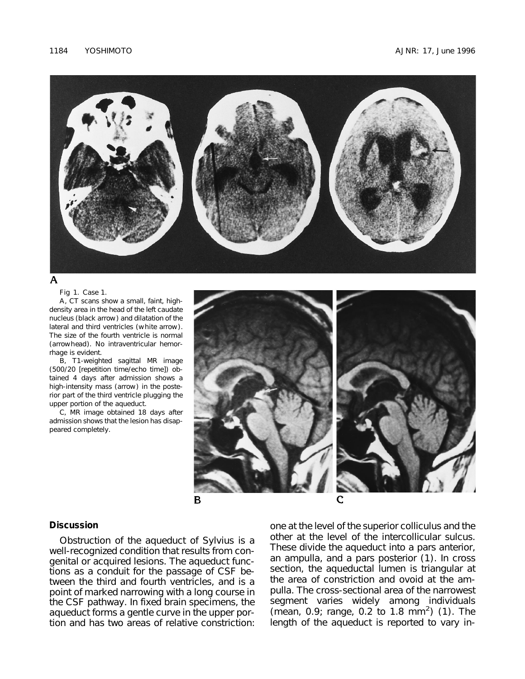

# A

Fig 1. Case 1.

*A*, CT scans show a small, faint, highdensity area in the head of the left caudate nucleus (*black arrow*) and dilatation of the lateral and third ventricles (*white arrow*). The size of the fourth ventricle is normal (*arrowhead*). No intraventricular hemorrhage is evident.

*B*, T1-weighted sagittal MR image (500/20 [repetition time/echo time]) obtained 4 days after admission shows a high-intensity mass (*arrow*) in the posterior part of the third ventricle plugging the upper portion of the aqueduct.

*C*, MR image obtained 18 days after admission shows that the lesion has disappeared completely.



## **Discussion**

Obstruction of the aqueduct of Sylvius is a well-recognized condition that results from congenital or acquired lesions. The aqueduct functions as a conduit for the passage of CSF between the third and fourth ventricles, and is a point of marked narrowing with a long course in the CSF pathway. In fixed brain specimens, the aqueduct forms a gentle curve in the upper portion and has two areas of relative constriction: one at the level of the superior colliculus and the other at the level of the intercollicular sulcus. These divide the aqueduct into a pars anterior, an ampulla, and a pars posterior (1). In cross section, the aqueductal lumen is triangular at the area of constriction and ovoid at the ampulla. The cross-sectional area of the narrowest segment varies widely among individuals (mean, 0.9; range, 0.2 to 1.8 mm<sup>2</sup>) (1). The length of the aqueduct is reported to vary in-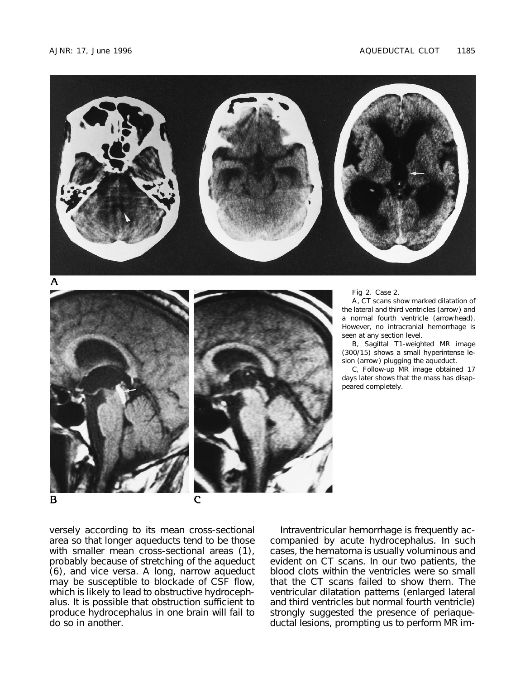



Fig 2. Case 2.

*A*, CT scans show marked dilatation of the lateral and third ventricles (*arrow*) and a normal fourth ventricle (*arrowhead*). However, no intracranial hemorrhage is seen at any section level.

*B*, Sagittal T1-weighted MR image (300/15) shows a small hyperintense lesion (*arrow*) plugging the aqueduct.

*C*, Follow-up MR image obtained 17 days later shows that the mass has disappeared completely.

versely according to its mean cross-sectional area so that longer aqueducts tend to be those with smaller mean cross-sectional areas (1), probably because of stretching of the aqueduct (6), and vice versa. A long, narrow aqueduct may be susceptible to blockade of CSF flow, which is likely to lead to obstructive hydrocephalus. It is possible that obstruction sufficient to produce hydrocephalus in one brain will fail to do so in another.

Intraventricular hemorrhage is frequently accompanied by acute hydrocephalus. In such cases, the hematoma is usually voluminous and evident on CT scans. In our two patients, the blood clots within the ventricles were so small that the CT scans failed to show them. The ventricular dilatation patterns (enlarged lateral and third ventricles but normal fourth ventricle) strongly suggested the presence of periaqueductal lesions, prompting us to perform MR im